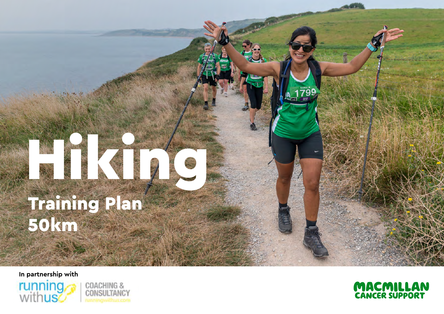## Training Plan 50km Hiking

**In partnership with**





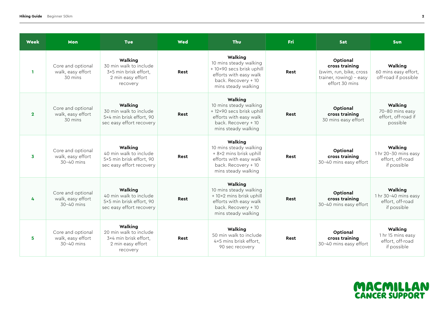| <b>Week</b>  | Mon                                                         | <b>Tue</b>                                                                                  | <b>Wed</b> | Thu                                                                                                                                    | Fri  | <b>Sat</b>                                                                                         | Sun                                                                |
|--------------|-------------------------------------------------------------|---------------------------------------------------------------------------------------------|------------|----------------------------------------------------------------------------------------------------------------------------------------|------|----------------------------------------------------------------------------------------------------|--------------------------------------------------------------------|
| $\mathbf{1}$ | Core and optional<br>walk, easy effort<br>$30 \text{ mins}$ | Walking<br>30 min walk to include<br>3×5 min brisk effort.<br>2 min easy effort<br>recovery | Rest       | Walking<br>10 mins steady walking<br>+ 10×90 secs brisk uphill<br>efforts with easy walk<br>back. Recovery + 10<br>mins steady walking | Rest | Optional<br>cross training<br>(swim, run, bike, cross<br>trainer, rowing) - easy<br>effort 30 mins | Walking<br>60 mins easy effort,<br>off-road if possible            |
| $\mathbf{2}$ | Core and optional<br>walk, easy effort<br>$30 \text{ mins}$ | Walking<br>30 min walk to include<br>5×4 min brisk effort, 90<br>sec easy effort recovery   | Rest       | Walking<br>10 mins steady walking<br>+ 12×90 secs brisk uphill<br>efforts with easy walk<br>back. Recovery + 10<br>mins steady walking | Rest | Optional<br>cross training<br>30 mins easy effort                                                  | Walking<br>70-80 mins easy<br>effort, off-road if<br>possible      |
| 3            | Core and optional<br>walk, easy effort<br>$30-40$ mins      | Walking<br>40 min walk to include<br>5×5 min brisk effort, 90<br>sec easy effort recovery   | Rest       | Walking<br>10 mins steady walking<br>+ 8×2 mins brisk uphill<br>efforts with easy walk<br>back. Recovery + 10<br>mins steady walking   | Rest | Optional<br>cross training<br>30-40 mins easy effort                                               | Walking<br>1 hr 20-30 mins easy<br>effort, off-road<br>if possible |
| 4            | Core and optional<br>walk, easy effort<br>$30-40$ mins      | Walking<br>40 min walk to include<br>5×5 min brisk effort, 90<br>sec easy effort recovery   | Rest       | Walking<br>10 mins steady walking<br>+ 10×2 mins brisk uphill<br>efforts with easy walk<br>back. Recovery + 10<br>mins steady walking  | Rest | Optional<br>cross training<br>30-40 mins easy effort                                               | Walking<br>1 hr 30-40 mins easy<br>effort, off-road<br>if possible |
| 5            | Core and optional<br>walk, easy effort<br>$30-40$ mins      | Walking<br>20 min walk to include<br>3×4 min brisk effort,<br>2 min easy effort<br>recovery | Rest       | Walking<br>50 min walk to include<br>4×5 mins brisk effort,<br>90 sec recovery                                                         | Rest | Optional<br>cross training<br>30-40 mins easy effort                                               | Walking<br>1 hr 15 mins easy<br>effort, off-road<br>if possible    |

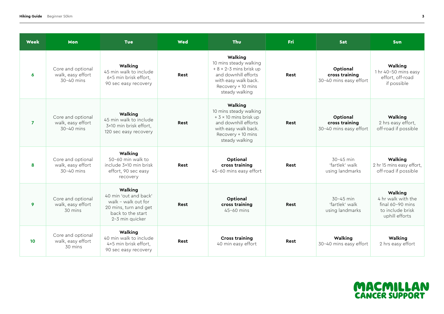| <b>Week</b>      | Mon                                                      | <b>Tue</b>                                                                                                               | Wed  | <b>Thu</b>                                                                                                                                                   | <b>Fri</b>  | Sat                                                  | <b>Sun</b>                                                                                |
|------------------|----------------------------------------------------------|--------------------------------------------------------------------------------------------------------------------------|------|--------------------------------------------------------------------------------------------------------------------------------------------------------------|-------------|------------------------------------------------------|-------------------------------------------------------------------------------------------|
| $\boldsymbol{6}$ | Core and optional<br>walk, easy effort<br>$30-40$ mins   | Walking<br>45 min walk to include<br>6×5 min brisk effort,<br>90 sec easy recovery                                       | Rest | Walking<br>10 mins steady walking<br>$+8 \times 2 - 3$ mins brisk up<br>and downhill efforts<br>with easy walk back.<br>Recovery + 10 mins<br>steady walking | Rest        | Optional<br>cross training<br>30-40 mins easy effort | Walking<br>1 hr 40-50 mins easy<br>effort, off-road<br>if possible                        |
| $\overline{7}$   | Core and optional<br>walk, easy effort<br>$30 - 40$ mins | Walking<br>45 min walk to include<br>3×10 min brisk effort,<br>120 sec easy recovery                                     | Rest | Walking<br>10 mins steady walking<br>$+3 \times 10$ mins brisk up<br>and downhill efforts<br>with easy walk back.<br>Recovery + 10 mins<br>steady walking    | <b>Rest</b> | Optional<br>cross training<br>30-40 mins easy effort | Walking<br>2 hrs easy effort,<br>off-road if possible                                     |
| 8                | Core and optional<br>walk, easy effort<br>$30-40$ mins   | Walking<br>50-60 min walk to<br>include 3×10 min brisk<br>effort, 90 sec easy<br>recovery                                | Rest | Optional<br>cross training<br>45-60 mins easy effort                                                                                                         | Rest        | $30 - 45$ min<br>'fartlek' walk<br>using landmarks   | Walking<br>2 hr 15 mins easy effort,<br>off-road if possible                              |
| 9                | Core and optional<br>walk, easy effort<br>30 mins        | Walking<br>40 min 'out and back'<br>walk - walk out for<br>20 mins, turn and get<br>back to the start<br>2-3 min quicker | Rest | Optional<br>cross training<br>$45-60$ mins                                                                                                                   | Rest        | $30 - 45$ min<br>'fartlek' walk<br>using landmarks   | Walking<br>4 hr walk with the<br>final $60-90$ mins<br>to include brisk<br>uphill efforts |
| 10               | Core and optional<br>walk, easy effort<br>30 mins        | Walking<br>40 min walk to include<br>4×5 min brisk effort,<br>90 sec easy recovery                                       | Rest | <b>Cross training</b><br>40 min easy effort                                                                                                                  | Rest        | Walking<br>30-40 mins easy effort                    | Walking<br>2 hrs easy effort                                                              |